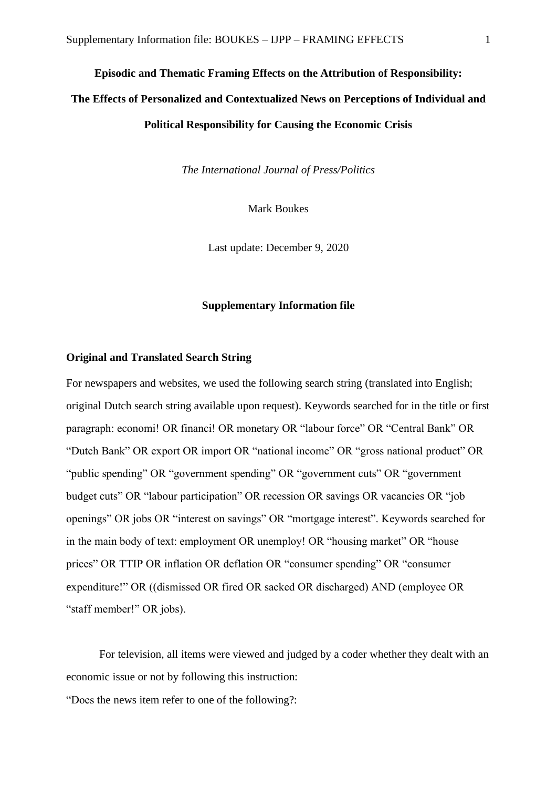#### **Episodic and Thematic Framing Effects on the Attribution of Responsibility:**

# **The Effects of Personalized and Contextualized News on Perceptions of Individual and**

## **Political Responsibility for Causing the Economic Crisis**

*The International Journal of Press/Politics*

Mark Boukes

Last update: December 9, 2020

#### **Supplementary Information file**

#### **Original and Translated Search String**

For newspapers and websites, we used the following search string (translated into English; original Dutch search string available upon request). Keywords searched for in the title or first paragraph: economi! OR financi! OR monetary OR "labour force" OR "Central Bank" OR "Dutch Bank" OR export OR import OR "national income" OR "gross national product" OR "public spending" OR "government spending" OR "government cuts" OR "government budget cuts" OR "labour participation" OR recession OR savings OR vacancies OR "job openings" OR jobs OR "interest on savings" OR "mortgage interest". Keywords searched for in the main body of text: employment OR unemploy! OR "housing market" OR "house prices" OR TTIP OR inflation OR deflation OR "consumer spending" OR "consumer expenditure!" OR ((dismissed OR fired OR sacked OR discharged) AND (employee OR "staff member!" OR jobs).

For television, all items were viewed and judged by a coder whether they dealt with an economic issue or not by following this instruction:

"Does the news item refer to one of the following?: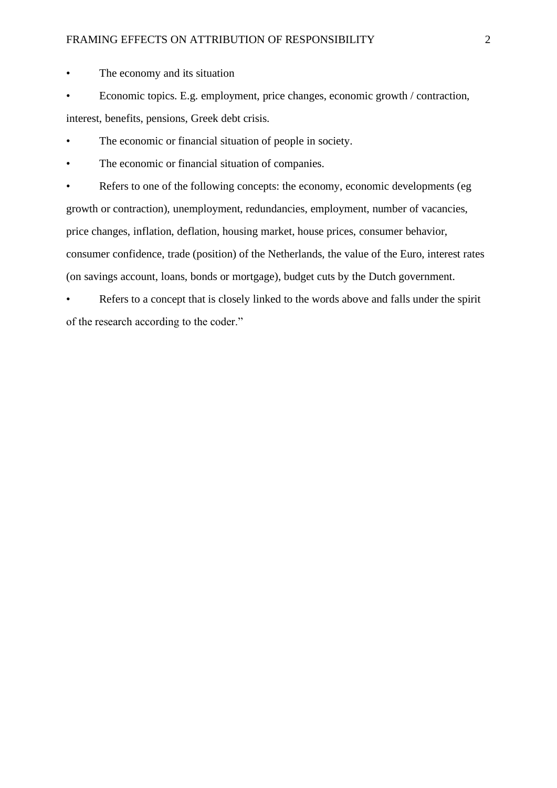#### FRAMING EFFECTS ON ATTRIBUTION OF RESPONSIBILITY 2

• The economy and its situation

• Economic topics. E.g. employment, price changes, economic growth / contraction, interest, benefits, pensions, Greek debt crisis.

The economic or financial situation of people in society.

The economic or financial situation of companies.

Refers to one of the following concepts: the economy, economic developments (eg growth or contraction), unemployment, redundancies, employment, number of vacancies, price changes, inflation, deflation, housing market, house prices, consumer behavior, consumer confidence, trade (position) of the Netherlands, the value of the Euro, interest rates (on savings account, loans, bonds or mortgage), budget cuts by the Dutch government.

Refers to a concept that is closely linked to the words above and falls under the spirit of the research according to the coder."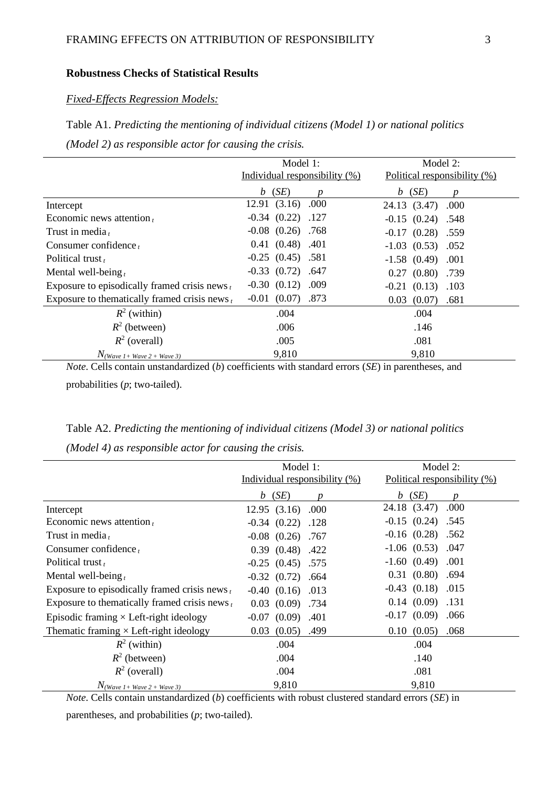#### **Robustness Checks of Statistical Results**

#### *Fixed-Effects Regression Models:*

# Table A1. *Predicting the mentioning of individual citizens (Model 1) or national politics (Model 2) as responsible actor for causing the crisis.*

|                                                  | Model 1:                         | Model 2:                     |  |  |
|--------------------------------------------------|----------------------------------|------------------------------|--|--|
|                                                  | Individual responsibility $(\%)$ | Political responsibility (%) |  |  |
|                                                  | $b$ (SE)                         | (SE)<br>b                    |  |  |
| Intercept                                        | 12.91(3.16)<br>.000              | 24.13 (3.47)<br>.000         |  |  |
| Economic news attention $t$                      | $-0.34$ $(0.22)$ .127            | $-0.15$ $(0.24)$ .548        |  |  |
| Trust in media,                                  | $-0.08$ $(0.26)$ .768            | $-0.17$ $(0.28)$ .559        |  |  |
| Consumer confidence $t$                          | $0.41$ $(0.48)$ .401             | $-1.03$ $(0.53)$ $.052$      |  |  |
| Political trust,                                 | $-0.25$ $(0.45)$ $.581$          | $-1.58$ $(0.49)$ $.001$      |  |  |
| Mental well-being $t$                            | $-0.33$ $(0.72)$ .647            | $0.27$ $(0.80)$ .739         |  |  |
| Exposure to episodically framed crisis news $t$  | $-0.30$ $(0.12)$ $.009$          | $-0.21$ $(0.13)$ $.103$      |  |  |
| Exposure to the matically framed crisis news $t$ | $-0.01$ $(0.07)$ .873            | 0.03<br>(0.07)<br>.681       |  |  |
| $R^2$ (within)                                   | .004                             | .004                         |  |  |
| $R^2$ (between)                                  | .006                             | .146                         |  |  |
| $R^2$ (overall)                                  | .005                             | .081                         |  |  |
| $N$ (Wave 1+ Wave 2 + Wave 3)                    | 9,810                            | 9,810                        |  |  |

*Note*. Cells contain unstandardized (*b*) coefficients with standard errors (*SE*) in parentheses, and probabilities (*p*; two-tailed).

|  | Table A2. Predicting the mentioning of individual citizens (Model 3) or national politics |  |  |  |
|--|-------------------------------------------------------------------------------------------|--|--|--|
|  |                                                                                           |  |  |  |

*(Model 4) as responsible actor for causing the crisis.*

|                                                  | Model 1:                         | Model 2:                     |  |  |
|--------------------------------------------------|----------------------------------|------------------------------|--|--|
|                                                  | Individual responsibility $(\%)$ | Political responsibility (%) |  |  |
|                                                  | $b$ (SE)<br>Ŋ                    | $b$ (SE)<br>n                |  |  |
| Intercept                                        | 12.95 (3.16) .000                | .000<br>24.18 (3.47)         |  |  |
| Economic news attention $t$                      | $-0.34$ $(0.22)$ .128            | $-0.15$ $(0.24)$ $.545$      |  |  |
| Trust in media,                                  | $-0.08$ $(0.26)$ .767            | $-0.16$ $(0.28)$ .562        |  |  |
| Consumer confidence $t$                          | $0.39$ $(0.48)$ $.422$           | $-1.06$ $(0.53)$ $.047$      |  |  |
| Political trust $t$                              | $-0.25$ $(0.45)$ .575            | $-1.60(0.49)$<br>.001        |  |  |
| Mental well-being $t$                            | $-0.32$ $(0.72)$ .664            | 0.31(0.80)<br>.694           |  |  |
| Exposure to episodically framed crisis news $t$  | $-0.40$ $(0.16)$ $.013$          | $-0.43$ $(0.18)$ $.015$      |  |  |
| Exposure to the matically framed crisis news $t$ | 0.03(0.09)<br>.734               | $0.14$ $(0.09)$ .131         |  |  |
| Episodic framing $\times$ Left-right ideology    | $-0.07$ $(0.09)$ $.401$          | $-0.17(0.09)$<br>.066        |  |  |
| Thematic framing $\times$ Left-right ideology    | $(0.05)$ .499<br>0.03            | 0.10(0.05)<br>.068           |  |  |
| $R^2$ (within)                                   | .004                             | .004                         |  |  |
| $R^2$ (between)                                  | .004                             | .140                         |  |  |
| $R^2$ (overall)                                  | .004                             | .081                         |  |  |
| $N$ (Wave 1+ Wave 2 + Wave 3)                    | 9,810                            | 9,810                        |  |  |

*Note*. Cells contain unstandardized (*b*) coefficients with robust clustered standard errors (*SE*) in

parentheses, and probabilities (*p*; two-tailed).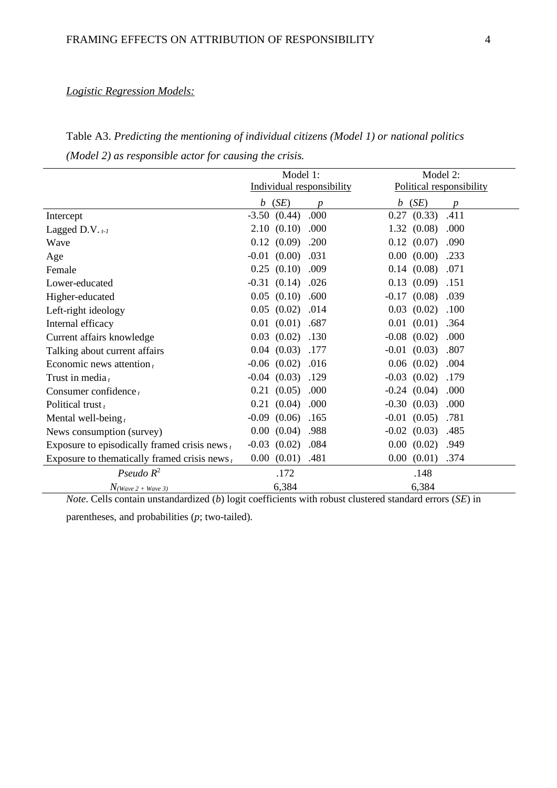## *Logistic Regression Models:*

Table A3. *Predicting the mentioning of individual citizens (Model 1) or national politics (Model 2) as responsible actor for causing the crisis.*

|                                                     | Model 1:<br>Individual responsibility | Model 2:<br>Political responsibility |  |
|-----------------------------------------------------|---------------------------------------|--------------------------------------|--|
|                                                     | (SE)<br>$\boldsymbol{b}$<br>D         | (SE)<br>$\boldsymbol{b}$<br>p        |  |
| Intercept                                           | $-3.50$ $(0.44)$<br>.000              | 0.27<br>.411<br>(0.33)               |  |
| Lagged D.V. $_{t-1}$                                | (0.10)<br>2.10<br>.000                | 1.32<br>(0.08)<br>.000               |  |
| Wave                                                | 0.12<br>(0.09)<br>.200                | 0.12(0.07)<br>.090                   |  |
| Age                                                 | $-0.01$<br>(0.00)<br>.031             | $0.00\,$<br>(0.00)<br>.233           |  |
| Female                                              | 0.25<br>(0.10)<br>.009                | 0.14(0.08)<br>.071                   |  |
| Lower-educated                                      | $-0.31$<br>(0.14)<br>.026             | (0.09)<br>0.13<br>.151               |  |
| Higher-educated                                     | (0.10)<br>0.05<br>.600                | $-0.17$<br>(0.08)<br>.039            |  |
| Left-right ideology                                 | (0.02)<br>0.05<br>.014                | 0.03<br>(0.02)<br>.100               |  |
| Internal efficacy                                   | 0.01<br>(0.01)<br>.687                | (0.01)<br>0.01<br>.364               |  |
| Current affairs knowledge                           | (0.02)<br>0.03<br>.130                | $-0.08$<br>(0.02)<br>.000            |  |
| Talking about current affairs                       | (0.03)<br>0.04<br>.177                | $-0.01$ $(0.03)$<br>.807             |  |
| Economic news attention $t$                         | (0.02)<br>.016<br>$-0.06$             | $0.06$ $(0.02)$<br>.004              |  |
| Trust in media $t$                                  | (0.03)<br>.129<br>$-0.04$             | $-0.03$ $(0.02)$<br>.179             |  |
| Consumer confidence $t$                             | (0.05)<br>.000<br>0.21                | .000<br>$-0.24(0.04)$                |  |
| Political trust,                                    | (0.04)<br>.000<br>0.21                | $-0.30(0.03)$<br>.000                |  |
| Mental well-being $t$                               | $-0.09$<br>(0.06)<br>.165             | .781<br>$-0.01$<br>(0.05)            |  |
| News consumption (survey)                           | (0.04)<br>0.00<br>.988                | $-0.02$<br>(0.03)<br>.485            |  |
| Exposure to episodically framed crisis news $t$     | $-0.03$<br>(0.02)<br>.084             | $0.00\,$<br>(0.02)<br>.949           |  |
| Exposure to the<br>matically framed crisis news $t$ | (0.01)<br>.481<br>$0.00\,$            | (0.01)<br>.374<br>$0.00\,$           |  |
| Pseudo $R^2$                                        | .172                                  | .148                                 |  |
| $N_{(Wave 2 + Wave 3)}$                             | 6,384                                 | 6,384                                |  |

*Note*. Cells contain unstandardized (*b*) logit coefficients with robust clustered standard errors (*SE*) in

parentheses, and probabilities (*p*; two-tailed).